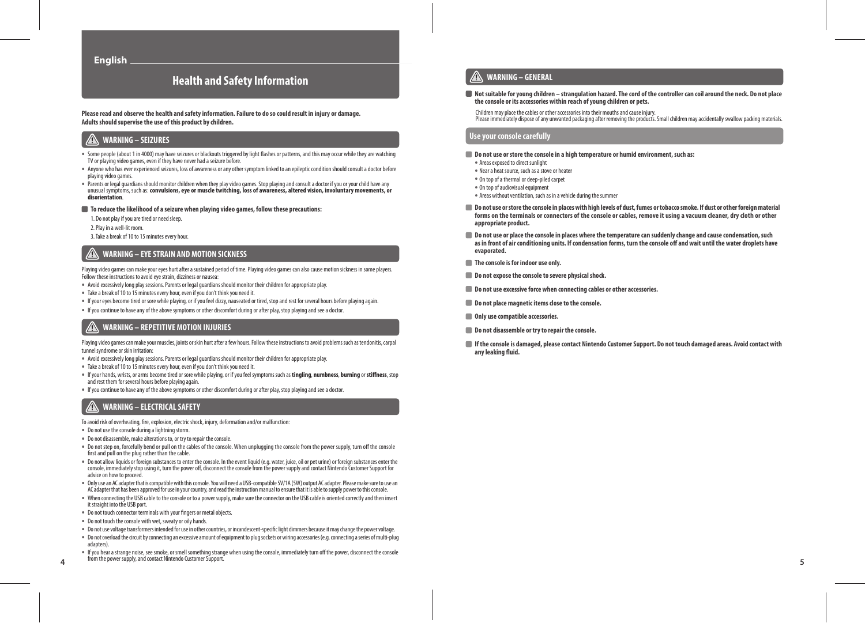## **Health and Safety Information**

**Please read and observe the health and safety information. Failure to do so could result in injury or damage. Adults should supervise the use of this product by children.**

## **WARNING – SEIZURES**

- **•** Some people (about 1 in 4000) may have seizures or blackouts triggered by light flashes or patterns, and this may occur while they are watching TV or playing video games, even if they have never had a seizure before.
- **•** Anyone who has ever experienced seizures, loss of awareness or any other symptom linked to an epileptic condition should consult a doctor before playing video games.
- **•** Parents or legal guardians should monitor children when they play video games. Stop playing and consult a doctor if you or your child have any unusual symptoms, such as: **convulsions, eye or muscle twitching, loss of awareness, altered vision, involuntary movements, or disorientation**.
- **To reduce the likelihood of a seizure when playing video games, follow these precautions:**
- 1. Do not play if you are tired or need sleep.
- 2. Play in a well-lit room.
- 3. Take a break of 10 to 15 minutes every hour.

#### $\sqrt{N}$ **WARNING – EYE STRAIN AND MOTION SICKNESS**

Playing video games can make your eyes hurt after a sustained period of time. Playing video games can also cause motion sickness in some players. Follow these instructions to avoid eye strain, dizziness or nausea:

- **•** Avoid excessively long play sessions. Parents or legal guardians should monitor their children for appropriate play.
- **•** Take a break of 10 to 15 minutes every hour, even if you don't think you need it.
- **•** If your eyes become tired or sore while playing, or if you feel dizzy, nauseated or tired, stop and rest for several hours before playing again.
- **•** If you continue to have any of the above symptoms or other discomfort during or after play, stop playing and see a doctor.

### **WARNING – REPETITIVE MOTION INJURIES**

Playing video games can make your muscles, joints or skin hurt after a few hours. Follow these instructions to avoid problems such as tendonitis, carpal tunnel syndrome or skin irritation:

- **•** Avoid excessively long play sessions. Parents or legal guardians should monitor their children for appropriate play.
- **•** Take a break of 10 to 15 minutes every hour, even if you don't think you need it.
- **•** If your hands, wrists, or arms become tired or sore while playing, or if you feel symptoms such as **tingling**, **numbness**, **burning** or **stiffness**, stop and rest them for several hours before playing again.
- **•** If you continue to have any of the above symptoms or other discomfort during or after play, stop playing and see a doctor.

### **WARNING – ELECTRICAL SAFETY**

To avoid risk of overheating, fire, explosion, electric shock, injury, deformation and/or malfunction:

- **•** Do not use the console during a lightning storm.
- **•** Do not disassemble, make alterations to, or try to repair the console.
- **•** Do not step on, forcefully bend or pull on the cables of the console. When unplugging the console from the power supply, turn off the console first and pull on the plug rather than the cable.
- **•** Do not allow liquids or foreign substances to enter the console. In the event liquid (e.g. water, juice, oil or pet urine) or foreign substances enter the console, immediately stop using it, turn the power off, disconnect the console from the power supply and contact Nintendo Customer Support for advice on how to proceed.
- **•** Only use an AC adapter that is compatible with this console. You will need a USB-compatible 5V/1A (5W) output AC adapter. Please make sure to use an AC adapter that has been approved for use in your country, and read the instruction manual to ensure that it is able to supply power to this console.
- **•** When connecting the USB cable to the console or to a power supply, make sure the connector on the USB cable is oriented correctly and then insert it straight into the USB port.
- **•** Do not touch connector terminals with your fingers or metal objects.
- **•** Do not touch the console with wet, sweaty or oily hands.
- **•** Do not use voltage transformers intended for use in other countries, or incandescent-specific light dimmers because it may change the power voltage.
- **•** Do not overload the circuit by connecting an excessive amount of equipment to plug sockets or wiring accessories (e.g. connecting a series of multi-plug adapters).
- $\frac{4}{4}$  **Trom the power supply, and contact Nintendo Customer Support. •** If you hear a strange noise, see smoke, or smell something strange when using the console, immediately turn off the power, disconnect the console from the power supply, and contact Nintendo Customer Support.

#### **WARNING – GENERAL**

 **Not suitable for young children – strangulation hazard. The cord of the controller can coil around the neck. Do not place the console or its accessories within reach of young children or pets.**

Children may place the cables or other accessories into their mouths and cause injury.

Please immediately dispose of any unwanted packaging after removing the products. Small children may accidentally swallow packing materials.

#### **Use your console carefully**

#### **Do not use or store the console in a high temperature or humid environment, such as:**

- **•** Areas exposed to direct sunlight
- **•** Near a heat source, such as a stove or heater
- **•** On top of a thermal or deep-piled carpet
- **•** On top of audiovisual equipment
- **•** Areas without ventilation, such as in a vehicle during the summer
- **Do not use or store the console in places with high levels of dust, fumes or tobacco smoke. If dust or other foreign material forms on the terminals or connectors of the console or cables, remove it using a vacuum cleaner, dry cloth or other appropriate product.**
- **Do not use or place the console in places where the temperature can suddenly change and cause condensation, such as in front of air conditioning units. If condensation forms, turn the console off and wait until the water droplets have evaporated.**
- **The console is for indoor use only.**
- $\blacksquare$  Do not expose the console to severe physical shock.
- **Do not use excessive force when connecting cables or other accessories.**
- **Do not place magnetic items close to the console.**
- **Only use compatible accessories.**
- **Do not disassemble or try to repair the console.**
- **If the console is damaged, please contact Nintendo Customer Support. Do not touch damaged areas. Avoid contact with any leaking fluid.**